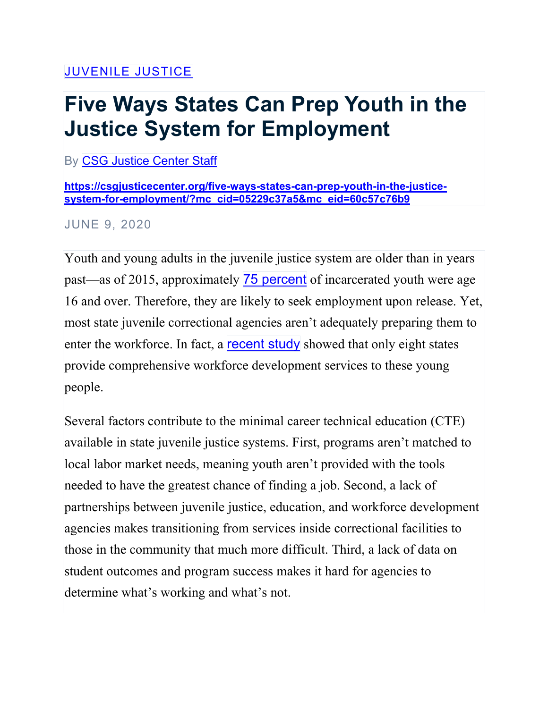## [JUVENILE](https://csgjusticecenter.org/category/juvenile-justice) JUSTICE

## **Five Ways States Can Prep Youth in the Justice System for Employment**

By CSG [Justice](https://csgjusticecenter.org/author/csg-justice-center-staff/) Center Staff

## **[https://csgjusticecenter.org/five-ways-states-can-prep-youth-in-the-justice](https://csgjusticecenter.org/five-ways-states-can-prep-youth-in-the-justice-system-for-employment/?mc_cid=05229c37a5&mc_eid=60c57c76b9)[system-for-employment/?mc\\_cid=05229c37a5&mc\\_eid=60c57c76b9](https://csgjusticecenter.org/five-ways-states-can-prep-youth-in-the-justice-system-for-employment/?mc_cid=05229c37a5&mc_eid=60c57c76b9)**

JUNE 9, 2020

Youth and young adults in the juvenile justice system are older than in years past—as of 2015, approximately [75 percent](https://www.ojjdp.gov/ojstatbb/ezacjrp/) of incarcerated youth were age 16 and over. Therefore, they are likely to seek employment upon release. Yet, most state juvenile correctional agencies aren't adequately preparing them to enter the workforce. In fact, a **[recent study](https://csgjusticecenter.org/publications/on-track-how-well-are-states-preparing-youth-in-the-juvenile-justice-system-for-employment/)** showed that only eight states provide comprehensive workforce development services to these young people.

Several factors contribute to the minimal career technical education (CTE) available in state juvenile justice systems. First, programs aren't matched to local labor market needs, meaning youth aren't provided with the tools needed to have the greatest chance of finding a job. Second, a lack of partnerships between juvenile justice, education, and workforce development agencies makes transitioning from services inside correctional facilities to those in the community that much more difficult. Third, a lack of data on student outcomes and program success makes it hard for agencies to determine what's working and what's not.